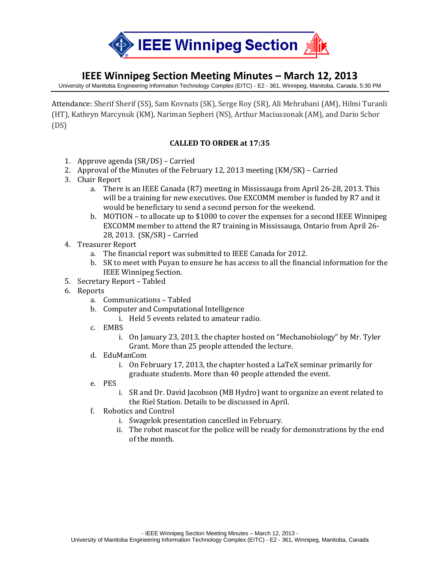

## **IEEE Winnipeg Section Meeting Minutes – March 12, 2013**

University of Manitoba Engineering Information Technology Complex (EITC) - E2 - 361, Winnipeg, Manitoba, Canada, 5:30 PM

Attendance: Sherif Sherif (SS), Sam Kovnats (SK), Serge Roy (SR), Ali Mehrabani (AM), Hilmi Turanli (HT), Kathryn Marcynuk (KM), Nariman Sepheri (NS), Arthur Maciuszonak (AM), and Dario Schor (DS)

## **CALLED TO ORDER at 17:35**

- 1. Approve agenda (SR/DS) Carried
- 2. Approval of the Minutes of the February 12, 2013 meeting (KM/SK) Carried
- 3. Chair Report
	- a. There is an IEEE Canada (R7) meeting in Mississauga from April 26-28, 2013. This will be a training for new executives. One EXCOMM member is funded by R7 and it would be beneficiary to send a second person for the weekend.
	- b. MOTION to allocate up to \$1000 to cover the expenses for a second IEEE Winnipeg EXCOMM member to attend the R7 training in Mississauga, Ontario from April 26- 28, 2013. (SK/SR) – Carried
- 4. Treasurer Report
	- a. The financial report was submitted to IEEE Canada for 2012.
	- b. SK to meet with Puyan to ensure he has access to all the financial information for the IEEE Winnipeg Section.
- 5. Secretary Report Tabled
- 6. Reports
	- a. Communications Tabled
	- b. Computer and Computational Intelligence
		- i. Held 5 events related to amateur radio.
	- c. EMBS
		- i. On January 23, 2013, the chapter hosted on "Mechanobiology" by Mr. Tyler Grant. More than 25 people attended the lecture.
	- d. EduManCom
		- i. On February 17, 2013, the chapter hosted a LaTeX seminar primarily for graduate students. More than 40 people attended the event.
	- e. PES
		- i. SR and Dr. David Jacobson (MB Hydro) want to organize an event related to the Riel Station. Details to be discussed in April.
	- f. Robotics and Control
		- i. Swagelok presentation cancelled in February.
		- ii. The robot mascot for the police will be ready for demonstrations by the end of the month.